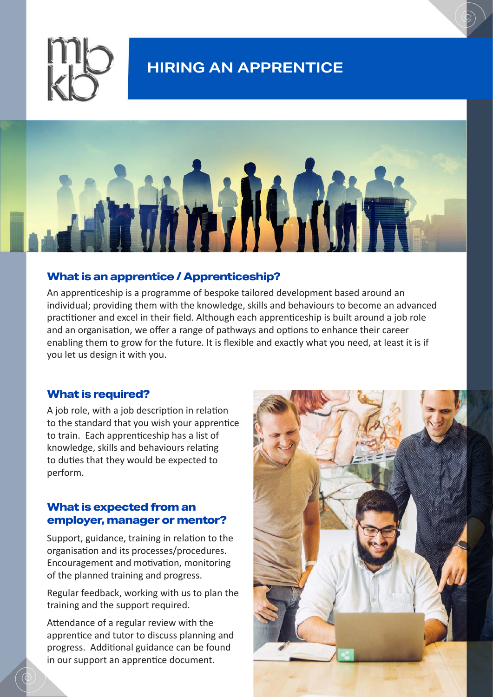

# **HIRING AN APPRENTICE**



#### **What is an apprentice / Apprenticeship?**

An apprenticeship is a programme of bespoke tailored development based around an individual; providing them with the knowledge, skills and behaviours to become an advanced practitioner and excel in their field. Although each apprenticeship is built around a job role and an organisation, we offer a range of pathways and options to enhance their career enabling them to grow for the future. It is flexible and exactly what you need, at least it is if you let us design it with you.

### **What is required?**

A job role, with a job description in relation to the standard that you wish your apprentice to train. Each apprenticeship has a list of knowledge, skills and behaviours relating to duties that they would be expected to perform.

## **What is expected from an employer, manager or mentor?**

Support, guidance, training in relation to the organisation and its processes/procedures. Encouragement and motivation, monitoring of the planned training and progress.

Regular feedback, working with us to plan the training and the support required.

Attendance of a regular review with the apprentice and tutor to discuss planning and progress. Additional guidance can be found in our support an apprentice document.

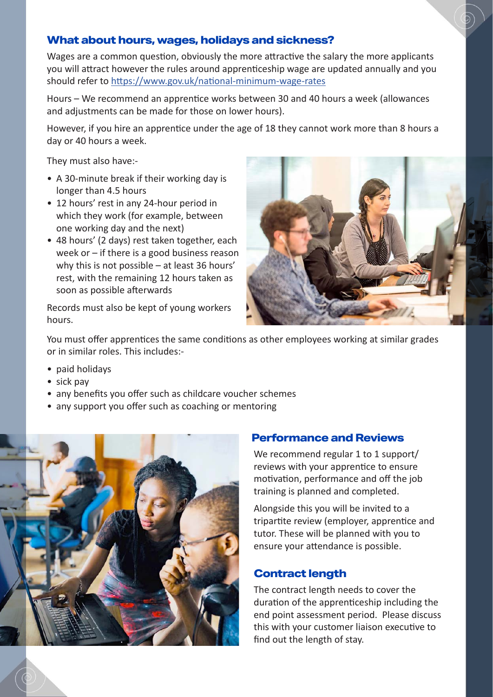# **What about hours, wages, holidays and sickness?**

Wages are a common question, obviously the more attractive the salary the more applicants you will attract however the rules around apprenticeship wage are updated annually and you should refer to<https://www.gov.uk/national-minimum-wage-rates>

Hours – We recommend an apprentice works between 30 and 40 hours a week (allowances and adjustments can be made for those on lower hours).

However, if you hire an apprentice under the age of 18 they cannot work more than 8 hours a day or 40 hours a week.

They must also have:-

- A 30-minute break if their working day is longer than 4.5 hours
- 12 hours' rest in any 24-hour period in which they work (for example, between one working day and the next)
- 48 hours' (2 days) rest taken together, each week or – if there is a good business reason why this is not possible – at least 36 hours' rest, with the remaining 12 hours taken as soon as possible afterwards

Records must also be kept of young workers hours.



You must offer apprentices the same conditions as other employees working at similar grades or in similar roles. This includes:-

- paid holidays
- sick pay
- any benefits you offer such as childcare voucher schemes
- any support you offer such as coaching or mentoring



#### **Performance and Reviews**

We recommend regular 1 to 1 support/ reviews with your apprentice to ensure motivation, performance and off the job training is planned and completed.

Alongside this you will be invited to a tripartite review (employer, apprentice and tutor. These will be planned with you to ensure your attendance is possible.

#### **Contract length**

The contract length needs to cover the duration of the apprenticeship including the end point assessment period. Please discuss this with your customer liaison executive to find out the length of stay.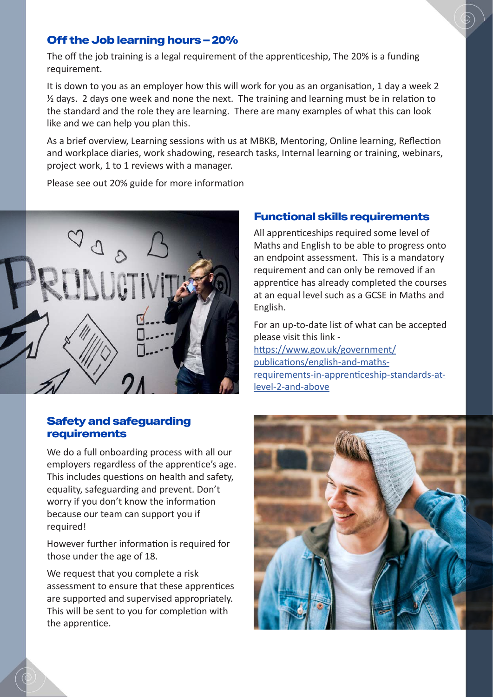# **Off the Job learning hours – 20%**

The off the job training is a legal requirement of the apprenticeship, The 20% is a funding requirement.

It is down to you as an employer how this will work for you as an organisation, 1 day a week 2 ½ days. 2 days one week and none the next. The training and learning must be in relation to the standard and the role they are learning. There are many examples of what this can look like and we can help you plan this.

As a brief overview, Learning sessions with us at MBKB, Mentoring, Online learning, Reflection and workplace diaries, work shadowing, research tasks, Internal learning or training, webinars, project work, 1 to 1 reviews with a manager.

Please see out 20% guide for more information

# **Functional skills requirements**

All apprenticeships required some level of Maths and English to be able to progress onto an endpoint assessment. This is a mandatory requirement and can only be removed if an apprentice has already completed the courses at an equal level such as a GCSE in Maths and English.

For an up-to-date list of what can be accepted please visit this link [https://www.gov.uk/government/](https://www.gov.uk/government/publications/english-and-maths-requirements-in-apprenticeship-standards-at-level-2-and-above) [publications/english-and-maths](https://www.gov.uk/government/publications/english-and-maths-requirements-in-apprenticeship-standards-at-level-2-and-above)[requirements-in-apprenticeship-standards-at](https://www.gov.uk/government/publications/english-and-maths-requirements-in-apprenticeship-standards-at-level-2-and-above)[level-2-and-above](https://www.gov.uk/government/publications/english-and-maths-requirements-in-apprenticeship-standards-at-level-2-and-above)

## **Safety and safeguarding requirements**

We do a full onboarding process with all our employers regardless of the apprentice's age. This includes questions on health and safety, equality, safeguarding and prevent. Don't worry if you don't know the information because our team can support you if required!

However further information is required for those under the age of 18.

We request that you complete a risk assessment to ensure that these apprentices are supported and supervised appropriately. This will be sent to you for completion with the apprentice.